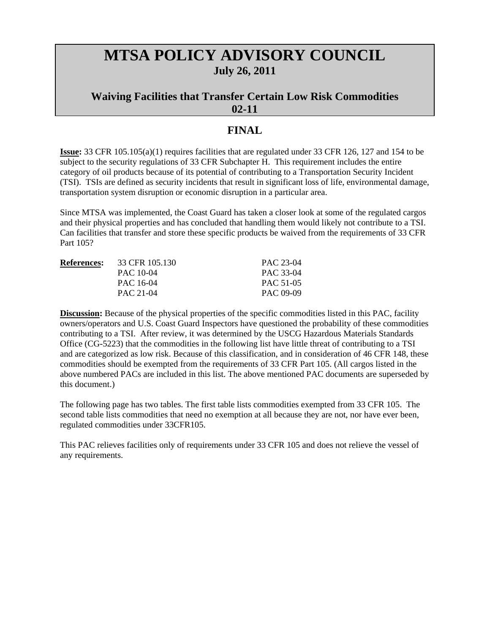# **MTSA POLICY ADVISORY COUNCIL July 26, 2011**

## **Waiving Facilities that Transfer Certain Low Risk Commodities 02-11**

## **FINAL**

**Issue:** 33 CFR 105.105(a)(1) requires facilities that are regulated under 33 CFR 126, 127 and 154 to be subject to the security regulations of 33 CFR Subchapter H. This requirement includes the entire category of oil products because of its potential of contributing to a Transportation Security Incident (TSI). TSIs are defined as security incidents that result in significant loss of life, environmental damage, transportation system disruption or economic disruption in a particular area.

Since MTSA was implemented, the Coast Guard has taken a closer look at some of the regulated cargos and their physical properties and has concluded that handling them would likely not contribute to a TSI. Can facilities that transfer and store these specific products be waived from the requirements of 33 CFR Part 105?

| <b>References:</b> | 33 CFR 105.130 | PAC 23-04 |
|--------------------|----------------|-----------|
|                    | PAC 10-04      | PAC 33-04 |
|                    | PAC 16-04      | PAC 51-05 |
|                    | PAC 21-04      | PAC 09-09 |

**Discussion:** Because of the physical properties of the specific commodities listed in this PAC, facility owners/operators and U.S. Coast Guard Inspectors have questioned the probability of these commodities contributing to a TSI. After review, it was determined by the USCG Hazardous Materials Standards Office (CG-5223) that the commodities in the following list have little threat of contributing to a TSI and are categorized as low risk. Because of this classification, and in consideration of 46 CFR 148, these commodities should be exempted from the requirements of 33 CFR Part 105. (All cargos listed in the above numbered PACs are included in this list. The above mentioned PAC documents are superseded by this document.)

The following page has two tables. The first table lists commodities exempted from 33 CFR 105. The second table lists commodities that need no exemption at all because they are not, nor have ever been, regulated commodities under 33CFR105.

This PAC relieves facilities only of requirements under 33 CFR 105 and does not relieve the vessel of any requirements.